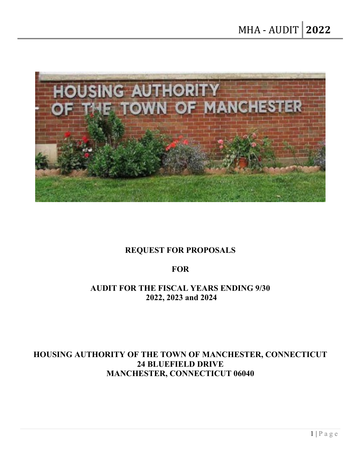

# **REQUEST FOR PROPOSALS**

## **FOR**

## **AUDIT FOR THE FISCAL YEARS ENDING 9/30 2022, 2023 and 2024**

## **HOUSING AUTHORITY OF THE TOWN OF MANCHESTER, CONNECTICUT 24 BLUEFIELD DRIVE MANCHESTER, CONNECTICUT 06040**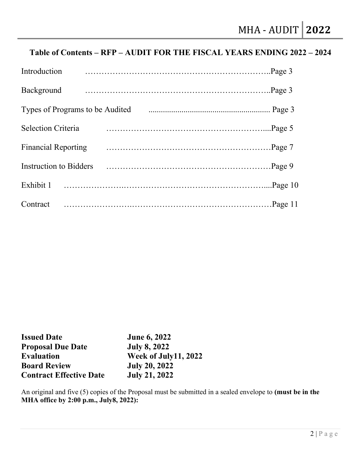# **Table of Contents – RFP – AUDIT FOR THE FISCAL YEARS ENDING 2022 – 2024**

| Introduction                    |  |  |
|---------------------------------|--|--|
| Background                      |  |  |
| Types of Programs to be Audited |  |  |
| <b>Selection Criteria</b>       |  |  |
| <b>Financial Reporting</b>      |  |  |
| Instruction to Bidders          |  |  |
| Exhibit 1                       |  |  |
| Contract                        |  |  |

| <b>Issued Date</b>             | <b>June 6, 2022</b>  |
|--------------------------------|----------------------|
| <b>Proposal Due Date</b>       | <b>July 8, 2022</b>  |
| <b>Evaluation</b>              | Week of July11, 2022 |
| <b>Board Review</b>            | <b>July 20, 2022</b> |
| <b>Contract Effective Date</b> | <b>July 21, 2022</b> |

An original and five (5) copies of the Proposal must be submitted in a sealed envelope to **(must be in the MHA office by 2:00 p.m., July8, 2022):**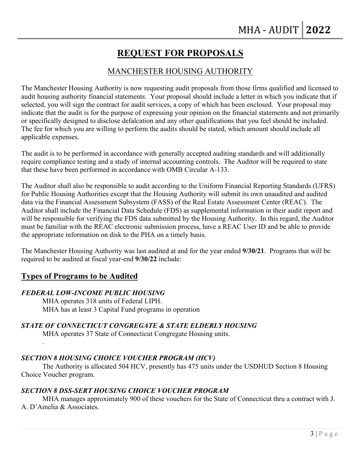# **REQUEST FOR PROPOSALS**

## MANCHESTER HOUSING AUTHORITY

The Manchester Housing Authority is now requesting audit proposals from those firms qualified and licensed to audit housing authority financial statements. Your proposal should include a letter in which you indicate that if selected, you will sign the contract for audit services, a copy of which has been enclosed. Your proposal may indicate that the audit is for the purpose of expressing your opinion on the financial statements and not primarily or specifically designed to disclose defalcation and any other qualifications that you feel should be included. The fee for which you are willing to perform the audits should be stated, which amount should include all applicable expenses.

The audit is to be performed in accordance with generally accepted auditing standards and will additionally require compliance testing and a study of internal accounting controls. The Auditor will be required to state that these have been performed in accordance with OMB Circular A-133.

The Auditor shall also be responsible to audit according to the Uniform Financial Reporting Standards (UFRS) for Public Housing Authorities except that the Housing Authority will submit its own unaudited and audited data via the Financial Assessment Subsystem (FASS) of the Real Estate Assessment Center (REAC). The Auditor shall include the Financial Data Schedule (FDS) as supplemental information in their audit report and will be responsible for verifying the FDS data submitted by the Housing Authority. In this regard, the Auditor must be familiar with the REAC electronic submission process, have a REAC User ID and be able to provide the appropriate information on disk to the PHA on a timely basis.

The Manchester Housing Authority was last audited at and for the year ended **9/30/21**. Programs that will be required to be audited at fiscal year-end **9/30/22** include:

## **Types of Programs to be Audited**

.

#### *FEDERAL LOW-INCOME PUBLIC HOUSING*

MHA operates 318 units of Federal LIPH. MHA has at least 3 Capital Fund programs in operation

#### *STATE OF CONNECTICUT CONGREGATE & STATE ELDERLY HOUSING*

MHA operates 37 State of Connecticut Congregate Housing units.

## *SECTION 8 HOUSING CHOICE VOUCHER PROGRAM (HCV)*

The Authority is allocated 504 HCV, presently has 475 units under the USDHUD Section 8 Housing Choice Voucher program.

#### *SECTION 8 DSS-SERT HOUSING CHOICE VOUCHER PROGRAM*

MHA manages approximately 900 of these vouchers for the State of Connecticut thru a contract with J. A. D'Amelia & Associates.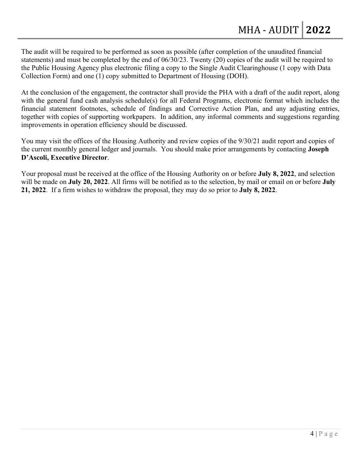The audit will be required to be performed as soon as possible (after completion of the unaudited financial statements) and must be completed by the end of 06/30/23. Twenty (20) copies of the audit will be required to the Public Housing Agency plus electronic filing a copy to the Single Audit Clearinghouse (1 copy with Data Collection Form) and one (1) copy submitted to Department of Housing (DOH).

At the conclusion of the engagement, the contractor shall provide the PHA with a draft of the audit report, along with the general fund cash analysis schedule(s) for all Federal Programs, electronic format which includes the financial statement footnotes, schedule of findings and Corrective Action Plan, and any adjusting entries, together with copies of supporting workpapers. In addition, any informal comments and suggestions regarding improvements in operation efficiency should be discussed.

You may visit the offices of the Housing Authority and review copies of the 9/30/21 audit report and copies of the current monthly general ledger and journals. You should make prior arrangements by contacting **Joseph D'Ascoli, Executive Director**.

Your proposal must be received at the office of the Housing Authority on or before **July 8, 2022**, and selection will be made on **July 20, 2022**. All firms will be notified as to the selection, by mail or email on or before **July 21, 2022**. If a firm wishes to withdraw the proposal, they may do so prior to **July 8, 2022**.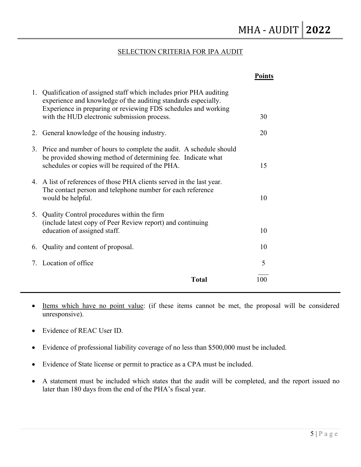#### SELECTION CRITERIA FOR IPA AUDIT

|    |                                                                                                                                                                                                                                                      | <b>Points</b> |  |
|----|------------------------------------------------------------------------------------------------------------------------------------------------------------------------------------------------------------------------------------------------------|---------------|--|
| 1. | Qualification of assigned staff which includes prior PHA auditing<br>experience and knowledge of the auditing standards especially.<br>Experience in preparing or reviewing FDS schedules and working<br>with the HUD electronic submission process. | 30            |  |
| 2. | General knowledge of the housing industry.                                                                                                                                                                                                           | 20            |  |
|    | 3. Price and number of hours to complete the audit. A schedule should<br>be provided showing method of determining fee. Indicate what<br>schedules or copies will be required of the PHA.                                                            | 15            |  |
|    | 4. A list of references of those PHA clients served in the last year.<br>The contact person and telephone number for each reference<br>would be helpful.                                                                                             | 10            |  |
| 5. | Quality Control procedures within the firm<br>(include latest copy of Peer Review report) and continuing<br>education of assigned staff.                                                                                                             | 10            |  |
| 6. | Quality and content of proposal.                                                                                                                                                                                                                     | 10            |  |
| 7. | Location of office                                                                                                                                                                                                                                   | 5             |  |
|    | <b>Total</b>                                                                                                                                                                                                                                         | 100           |  |

• Items which have no point value: (if these items cannot be met, the proposal will be considered unresponsive).

- Evidence of REAC User ID.
- Evidence of professional liability coverage of no less than \$500,000 must be included.
- Evidence of State license or permit to practice as a CPA must be included.
- A statement must be included which states that the audit will be completed, and the report issued no later than 180 days from the end of the PHA's fiscal year.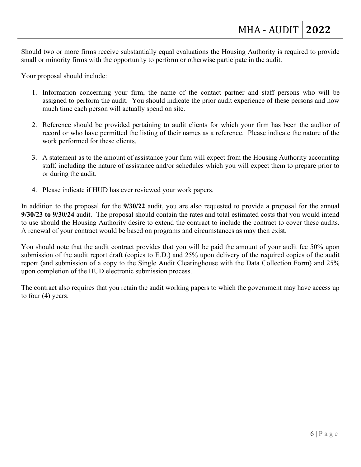Should two or more firms receive substantially equal evaluations the Housing Authority is required to provide small or minority firms with the opportunity to perform or otherwise participate in the audit.

Your proposal should include:

- 1. Information concerning your firm, the name of the contact partner and staff persons who will be assigned to perform the audit. You should indicate the prior audit experience of these persons and how much time each person will actually spend on site.
- 2. Reference should be provided pertaining to audit clients for which your firm has been the auditor of record or who have permitted the listing of their names as a reference. Please indicate the nature of the work performed for these clients.
- 3. A statement as to the amount of assistance your firm will expect from the Housing Authority accounting staff, including the nature of assistance and/or schedules which you will expect them to prepare prior to or during the audit.
- 4. Please indicate if HUD has ever reviewed your work papers.

In addition to the proposal for the **9/30/22** audit, you are also requested to provide a proposal for the annual **9/30/23 to 9/30/24** audit. The proposal should contain the rates and total estimated costs that you would intend to use should the Housing Authority desire to extend the contract to include the contract to cover these audits. A renewal of your contract would be based on programs and circumstances as may then exist.

You should note that the audit contract provides that you will be paid the amount of your audit fee 50% upon submission of the audit report draft (copies to E.D.) and 25% upon delivery of the required copies of the audit report (and submission of a copy to the Single Audit Clearinghouse with the Data Collection Form) and 25% upon completion of the HUD electronic submission process.

The contract also requires that you retain the audit working papers to which the government may have access up to four (4) years.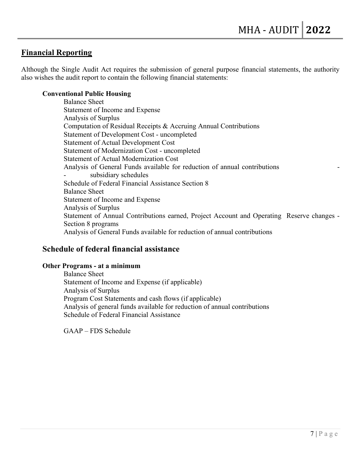## **Financial Reporting**

Although the Single Audit Act requires the submission of general purpose financial statements, the authority also wishes the audit report to contain the following financial statements:

#### **Conventional Public Housing**

Balance Sheet Statement of Income and Expense Analysis of Surplus Computation of Residual Receipts & Accruing Annual Contributions Statement of Development Cost - uncompleted Statement of Actual Development Cost Statement of Modernization Cost - uncompleted Statement of Actual Modernization Cost Analysis of General Funds available for reduction of annual contributions subsidiary schedules Schedule of Federal Financial Assistance Section 8 Balance Sheet Statement of Income and Expense Analysis of Surplus Statement of Annual Contributions earned, Project Account and Operating Reserve changes - Section 8 programs Analysis of General Funds available for reduction of annual contributions

## **Schedule of federal financial assistance**

#### **Other Programs - at a minimum**

Balance Sheet Statement of Income and Expense (if applicable) Analysis of Surplus Program Cost Statements and cash flows (if applicable) Analysis of general funds available for reduction of annual contributions Schedule of Federal Financial Assistance

GAAP – FDS Schedule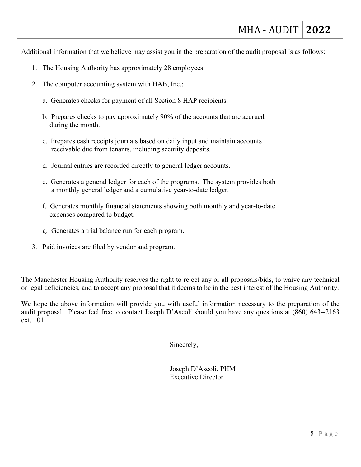Additional information that we believe may assist you in the preparation of the audit proposal is as follows:

- 1. The Housing Authority has approximately 28 employees.
- 2. The computer accounting system with HAB, Inc.:
	- a. Generates checks for payment of all Section 8 HAP recipients.
	- b. Prepares checks to pay approximately 90% of the accounts that are accrued during the month.
	- c. Prepares cash receipts journals based on daily input and maintain accounts receivable due from tenants, including security deposits.
	- d. Journal entries are recorded directly to general ledger accounts.
	- e. Generates a general ledger for each of the programs. The system provides both a monthly general ledger and a cumulative year-to-date ledger.
	- f. Generates monthly financial statements showing both monthly and year-to-date expenses compared to budget.
	- g. Generates a trial balance run for each program.
- 3. Paid invoices are filed by vendor and program.

The Manchester Housing Authority reserves the right to reject any or all proposals/bids, to waive any technical or legal deficiencies, and to accept any proposal that it deems to be in the best interest of the Housing Authority.

We hope the above information will provide you with useful information necessary to the preparation of the audit proposal. Please feel free to contact Joseph D'Ascoli should you have any questions at (860) 643--2163 ext. 101.

Sincerely,

Joseph D'Ascoli, PHM Executive Director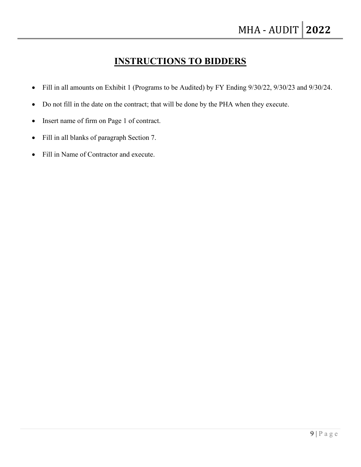# **INSTRUCTIONS TO BIDDERS**

- Fill in all amounts on Exhibit 1 (Programs to be Audited) by FY Ending 9/30/22, 9/30/23 and 9/30/24.
- Do not fill in the date on the contract; that will be done by the PHA when they execute.
- Insert name of firm on Page 1 of contract.
- Fill in all blanks of paragraph Section 7.
- Fill in Name of Contractor and execute.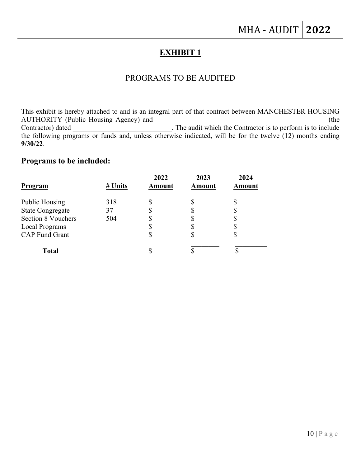## **EXHIBIT 1**

#### PROGRAMS TO BE AUDITED

This exhibit is hereby attached to and is an integral part of that contract between MANCHESTER HOUSING AUTHORITY (Public Housing Agency) and  $($ the Contractor) dated \_\_\_\_\_\_\_\_\_\_\_\_\_\_\_\_\_\_\_\_\_\_\_\_\_\_\_\_\_\_. The audit which the Contractor is to perform is to include the following programs or funds and, unless otherwise indicated, will be for the twelve (12) months ending **9/30/22**.

## **Programs to be included:**

| <b>Program</b>            | # Units | 2022<br>Amount | 2023<br>Amount | 2024<br>Amount |
|---------------------------|---------|----------------|----------------|----------------|
| <b>Public Housing</b>     | 318     |                |                |                |
| <b>State Congregate</b>   | 37      |                |                |                |
| <b>Section 8 Vouchers</b> | 504     |                |                |                |
| <b>Local Programs</b>     |         |                | S              |                |
| <b>CAP Fund Grant</b>     |         | Φ              | \$             |                |
| <b>Total</b>              |         |                |                |                |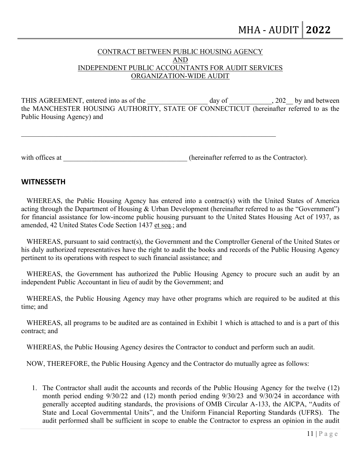#### CONTRACT BETWEEN PUBLIC HOUSING AGENCY AND INDEPENDENT PUBLIC ACCOUNTANTS FOR AUDIT SERVICES ORGANIZATION-WIDE AUDIT

THIS AGREEMENT, entered into as of the day of the day of the control of the day of the control of the control of the day of the control of the control of the control of the control of the control of the control of the cont the MANCHESTER HOUSING AUTHORITY, STATE OF CONNECTICUT (hereinafter referred to as the Public Housing Agency) and

with offices at  $\Box$  (hereinafter referred to as the Contractor).

#### **WITNESSETH**

 WHEREAS, the Public Housing Agency has entered into a contract(s) with the United States of America acting through the Department of Housing & Urban Development (hereinafter referred to as the "Government") for financial assistance for low-income public housing pursuant to the United States Housing Act of 1937, as amended, 42 United States Code Section 1437 et seq.; and

 WHEREAS, pursuant to said contract(s), the Government and the Comptroller General of the United States or his duly authorized representatives have the right to audit the books and records of the Public Housing Agency pertinent to its operations with respect to such financial assistance; and

 WHEREAS, the Government has authorized the Public Housing Agency to procure such an audit by an independent Public Accountant in lieu of audit by the Government; and

 WHEREAS, the Public Housing Agency may have other programs which are required to be audited at this time; and

 WHEREAS, all programs to be audited are as contained in Exhibit 1 which is attached to and is a part of this contract; and

WHEREAS, the Public Housing Agency desires the Contractor to conduct and perform such an audit.

NOW, THEREFORE, the Public Housing Agency and the Contractor do mutually agree as follows:

1. The Contractor shall audit the accounts and records of the Public Housing Agency for the twelve (12) month period ending 9/30/22 and (12) month period ending 9/30/23 and 9/30/24 in accordance with generally accepted auditing standards, the provisions of OMB Circular A-133, the AICPA, "Audits of State and Local Governmental Units", and the Uniform Financial Reporting Standards (UFRS). The audit performed shall be sufficient in scope to enable the Contractor to express an opinion in the audit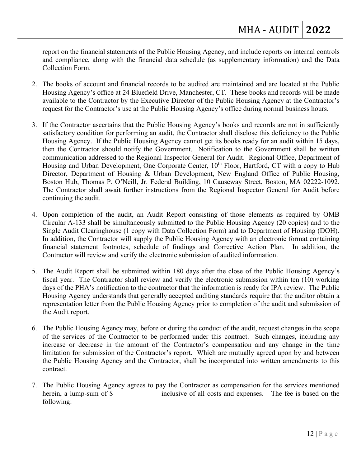report on the financial statements of the Public Housing Agency, and include reports on internal controls and compliance, along with the financial data schedule (as supplementary information) and the Data Collection Form.

- 2. The books of account and financial records to be audited are maintained and are located at the Public Housing Agency's office at 24 Bluefield Drive, Manchester, CT. These books and records will be made available to the Contractor by the Executive Director of the Public Housing Agency at the Contractor's request for the Contractor's use at the Public Housing Agency's office during normal business hours.
- 3. If the Contractor ascertains that the Public Housing Agency's books and records are not in sufficiently satisfactory condition for performing an audit, the Contractor shall disclose this deficiency to the Public Housing Agency. If the Public Housing Agency cannot get its books ready for an audit within 15 days, then the Contractor should notify the Government. Notification to the Government shall be written communication addressed to the Regional Inspector General for Audit. Regional Office, Department of Housing and Urban Development, One Corporate Center, 10<sup>th</sup> Floor, Hartford, CT with a copy to Hub Director, Department of Housing & Urban Development, New England Office of Public Housing, Boston Hub, Thomas P. O'Neill, Jr. Federal Building, 10 Causeway Street, Boston, MA 02222-1092. The Contractor shall await further instructions from the Regional Inspector General for Audit before continuing the audit.
- 4. Upon completion of the audit, an Audit Report consisting of those elements as required by OMB Circular A-133 shall be simultaneously submitted to the Public Housing Agency (20 copies) and to the Single Audit Clearinghouse (1 copy with Data Collection Form) and to Department of Housing (DOH). In addition, the Contractor will supply the Public Housing Agency with an electronic format containing financial statement footnotes, schedule of findings and Corrective Action Plan. In addition, the Contractor will review and verify the electronic submission of audited information.
- 5. The Audit Report shall be submitted within 180 days after the close of the Public Housing Agency's fiscal year. The Contractor shall review and verify the electronic submission within ten (10) working days of the PHA's notification to the contractor that the information is ready for IPA review. The Public Housing Agency understands that generally accepted auditing standards require that the auditor obtain a representation letter from the Public Housing Agency prior to completion of the audit and submission of the Audit report.
- 6. The Public Housing Agency may, before or during the conduct of the audit, request changes in the scope of the services of the Contractor to be performed under this contract. Such changes, including any increase or decrease in the amount of the Contractor's compensation and any change in the time limitation for submission of the Contractor's report. Which are mutually agreed upon by and between the Public Housing Agency and the Contractor, shall be incorporated into written amendments to this contract.
- 7. The Public Housing Agency agrees to pay the Contractor as compensation for the services mentioned herein, a lump-sum of \$ The inclusive of all costs and expenses. The fee is based on the following: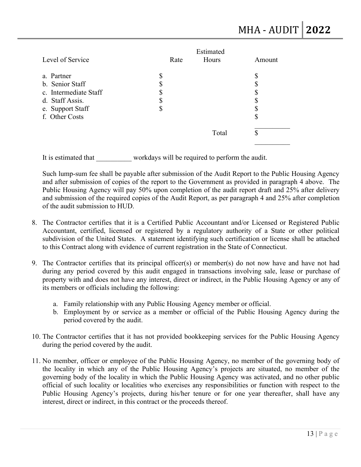|                       |      | Estimated |         |
|-----------------------|------|-----------|---------|
| Level of Service      | Rate | Hours     | Amount  |
| a. Partner            | ۰D   |           |         |
| b. Senior Staff       |      |           |         |
| c. Intermediate Staff |      |           |         |
| d. Staff Assis.       |      |           |         |
| e. Support Staff      | ጥ    |           |         |
| f. Other Costs        |      |           | J       |
|                       |      | Total     | ╓<br>J) |
|                       |      |           |         |

It is estimated that workdays will be required to perform the audit.

Such lump-sum fee shall be payable after submission of the Audit Report to the Public Housing Agency and after submission of copies of the report to the Government as provided in paragraph 4 above. The Public Housing Agency will pay 50% upon completion of the audit report draft and 25% after delivery and submission of the required copies of the Audit Report, as per paragraph 4 and 25% after completion of the audit submission to HUD.

- 8. The Contractor certifies that it is a Certified Public Accountant and/or Licensed or Registered Public Accountant, certified, licensed or registered by a regulatory authority of a State or other political subdivision of the United States. A statement identifying such certification or license shall be attached to this Contract along with evidence of current registration in the State of Connecticut.
- 9. The Contractor certifies that its principal officer(s) or member(s) do not now have and have not had during any period covered by this audit engaged in transactions involving sale, lease or purchase of property with and does not have any interest, direct or indirect, in the Public Housing Agency or any of its members or officials including the following:
	- a. Family relationship with any Public Housing Agency member or official.
	- b. Employment by or service as a member or official of the Public Housing Agency during the period covered by the audit.
- 10. The Contractor certifies that it has not provided bookkeeping services for the Public Housing Agency during the period covered by the audit.
- 11. No member, officer or employee of the Public Housing Agency, no member of the governing body of the locality in which any of the Public Housing Agency's projects are situated, no member of the governing body of the locality in which the Public Housing Agency was activated, and no other public official of such locality or localities who exercises any responsibilities or function with respect to the Public Housing Agency's projects, during his/her tenure or for one year thereafter, shall have any interest, direct or indirect, in this contract or the proceeds thereof.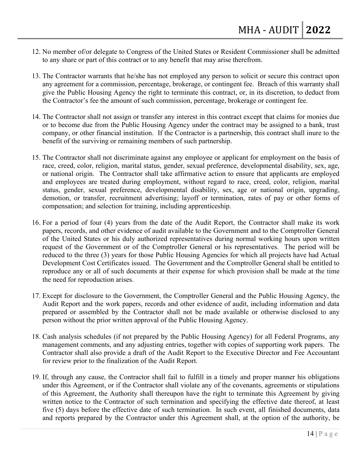- 12. No member of/or delegate to Congress of the United States or Resident Commissioner shall be admitted to any share or part of this contract or to any benefit that may arise therefrom.
- 13. The Contractor warrants that he/she has not employed any person to solicit or secure this contract upon any agreement for a commission, percentage, brokerage, or contingent fee. Breach of this warranty shall give the Public Housing Agency the right to terminate this contract, or, in its discretion, to deduct from the Contractor's fee the amount of such commission, percentage, brokerage or contingent fee.
- 14. The Contractor shall not assign or transfer any interest in this contract except that claims for monies due or to become due from the Public Housing Agency under the contract may be assigned to a bank, trust company, or other financial institution. If the Contractor is a partnership, this contract shall inure to the benefit of the surviving or remaining members of such partnership.
- 15. The Contractor shall not discriminate against any employee or applicant for employment on the basis of race, creed, color, religion, marital status, gender, sexual preference, developmental disability, sex, age, or national origin. The Contractor shall take affirmative action to ensure that applicants are employed and employees are treated during employment, without regard to race, creed, color, religion, marital status, gender, sexual preference, developmental disability, sex, age or national origin, upgrading, demotion, or transfer, recruitment advertising; layoff or termination, rates of pay or other forms of compensation; and selection for training, including apprenticeship.
- 16. For a period of four (4) years from the date of the Audit Report, the Contractor shall make its work papers, records, and other evidence of audit available to the Government and to the Comptroller General of the United States or his duly authorized representatives during normal working hours upon written request of the Government or of the Comptroller General or his representatives. The period will be reduced to the three (3) years for those Public Housing Agencies for which all projects have had Actual Development Cost Certificates issued. The Government and the Comptroller General shall be entitled to reproduce any or all of such documents at their expense for which provision shall be made at the time the need for reproduction arises.
- 17. Except for disclosure to the Government, the Comptroller General and the Public Housing Agency, the Audit Report and the work papers, records and other evidence of audit, including information and data prepared or assembled by the Contractor shall not be made available or otherwise disclosed to any person without the prior written approval of the Public Housing Agency.
- 18. Cash analysis schedules (if not prepared by the Public Housing Agency) for all Federal Programs, any management comments, and any adjusting entries, together with copies of supporting work papers. The Contractor shall also provide a draft of the Audit Report to the Executive Director and Fee Accountant for review prior to the finalization of the Audit Report.
- 19. If, through any cause, the Contractor shall fail to fulfill in a timely and proper manner his obligations under this Agreement, or if the Contractor shall violate any of the covenants, agreements or stipulations of this Agreement, the Authority shall thereupon have the right to terminate this Agreement by giving written notice to the Contractor of such termination and specifying the effective date thereof, at least five (5) days before the effective date of such termination. In such event, all finished documents, data and reports prepared by the Contractor under this Agreement shall, at the option of the authority, be